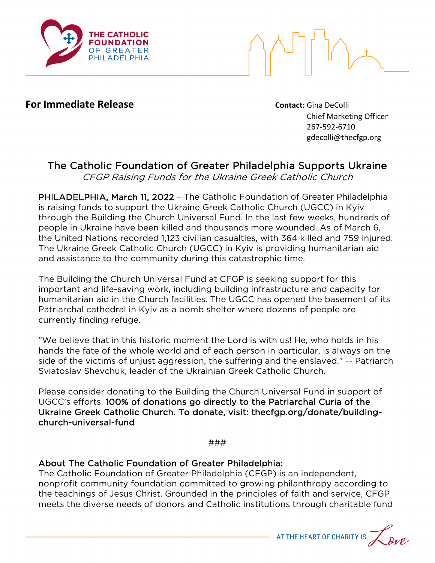

**For Immediate Release Contact:** Gina DeColli

Chief Marketing Officer 267-592-6710 gdecolli@thecfgp.org

## The Catholic Foundation of Greater Philadelphia Supports Ukraine

CFGP Raising Funds for the Ukraine Greek Catholic Church

PHILADELPHIA, March 11, 2022 – The Catholic Foundation of Greater Philadelphia is raising funds to support the Ukraine Greek Catholic Church (UGCC) in Kyiv through the Building the Church Universal Fund. In the last few weeks, hundreds of people in Ukraine have been killed and thousands more wounded. As of March 6, the United Nations recorded 1,123 civilian casualties, with 364 killed and 759 injured. The Ukraine Greek Catholic Church (UGCC) in Kyiv is providing humanitarian aid and assistance to the community during this catastrophic time.

The Building the Church Universal Fund at CFGP is seeking support for this important and life-saving work, including building infrastructure and capacity for humanitarian aid in the Church facilities. The UGCC has opened the basement of its Patriarchal cathedral in Kyiv as a bomb shelter where dozens of people are currently finding refuge.

"We believe that in this historic moment the Lord is with us! He, who holds in his hands the fate of the whole world and of each person in particular, is always on the side of the victims of unjust aggression, the suffering and the enslaved." -- Patriarch Sviatoslav Shevchuk, leader of the Ukrainian Greek Catholic Church.

Please consider donating to the Building the Church Universal Fund in support of UGCC's efforts. 100% of donations go directly to the Patriarchal Curia of the Ukraine Greek Catholic Church. To donate, visit: thecfgp.org/donate/buildingchurch-universal-fund

###

## About The Catholic Foundation of Greater Philadelphia:

The Catholic Foundation of Greater Philadelphia (CFGP) is an independent, nonprofit community foundation committed to growing philanthropy according to the teachings of Jesus Christ. Grounded in the principles of faith and service, CFGP meets the diverse needs of donors and Catholic institutions through charitable fund

AT THE HEART OF CHARITY IS